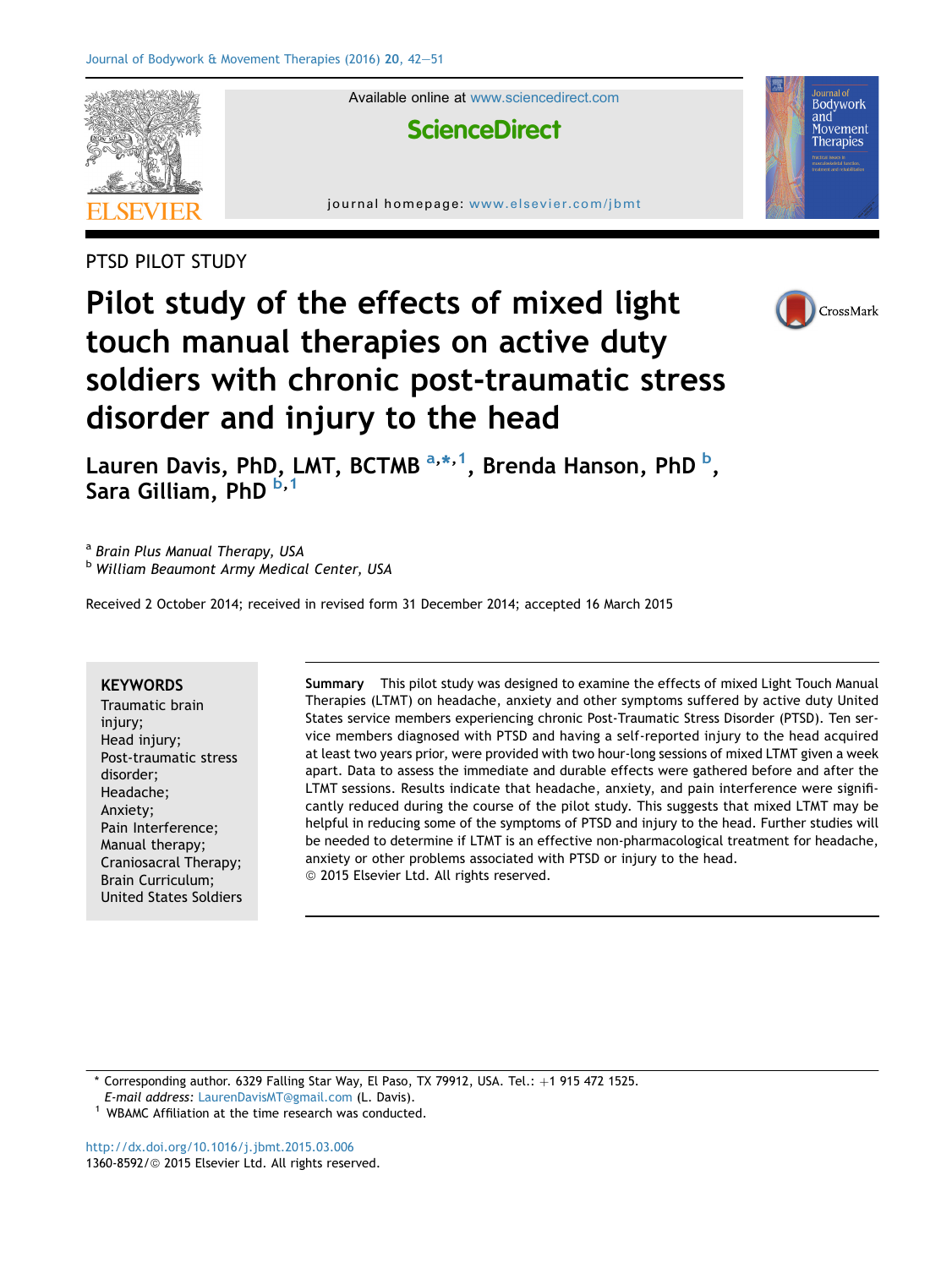

Available online at [www.sciencedirect.com](www.sciencedirect.com/science/journal/13608592)

## **ScienceDirect**

journal homepage: [www.elsevier.com/jbmt](http://www.elsevier.com/jbmt)

PTSD PILOT STUDY



Bodywork and and<br>Movement<br>Therapies

# Pilot study of the effects of mixed light touch manual therapies on active duty soldiers with chronic post-traumatic stress disorder and injury to the head

Lauren Davis, PhD, LMT, BCTMB <sup>a,\*,1</sup>, Brenda Hanson, PhD <sup>b</sup>, Sara Gilliam, PhD  $^{b,1}$ 

a Brain Plus Manual Therapy, USA **b William Beaumont Army Medical Center, USA** 

Received 2 October 2014; received in revised form 31 December 2014; accepted 16 March 2015

#### **KEYWORDS**

Traumatic brain injury: Head injury; Post-traumatic stress disorder; Headache; Anxiety; Pain Interference; Manual therapy; Craniosacral Therapy; Brain Curriculum; United States Soldiers Summary This pilot study was designed to examine the effects of mixed Light Touch Manual Therapies (LTMT) on headache, anxiety and other symptoms suffered by active duty United States service members experiencing chronic Post-Traumatic Stress Disorder (PTSD). Ten service members diagnosed with PTSD and having a self-reported injury to the head acquired at least two years prior, were provided with two hour-long sessions of mixed LTMT given a week apart. Data to assess the immediate and durable effects were gathered before and after the LTMT sessions. Results indicate that headache, anxiety, and pain interference were significantly reduced during the course of the pilot study. This suggests that mixed LTMT may be helpful in reducing some of the symptoms of PTSD and injury to the head. Further studies will be needed to determine if LTMT is an effective non-pharmacological treatment for headache, anxiety or other problems associated with PTSD or injury to the head.  $@$  2015 Elsevier Ltd. All rights reserved.

Corresponding author. 6329 Falling Star Way, El Paso, TX 79912, USA. Tel.:  $+1$  915 472 1525. E-mail address: [LaurenDavisMT@gmail.com](mailto:LaurenDavisMT@gmail.com) (L. Davis).

<sup>1</sup> WBAMC Affiliation at the time research was conducted.

<http://dx.doi.org/10.1016/j.jbmt.2015.03.006> 1360-8592/© 2015 Elsevier Ltd. All rights reserved.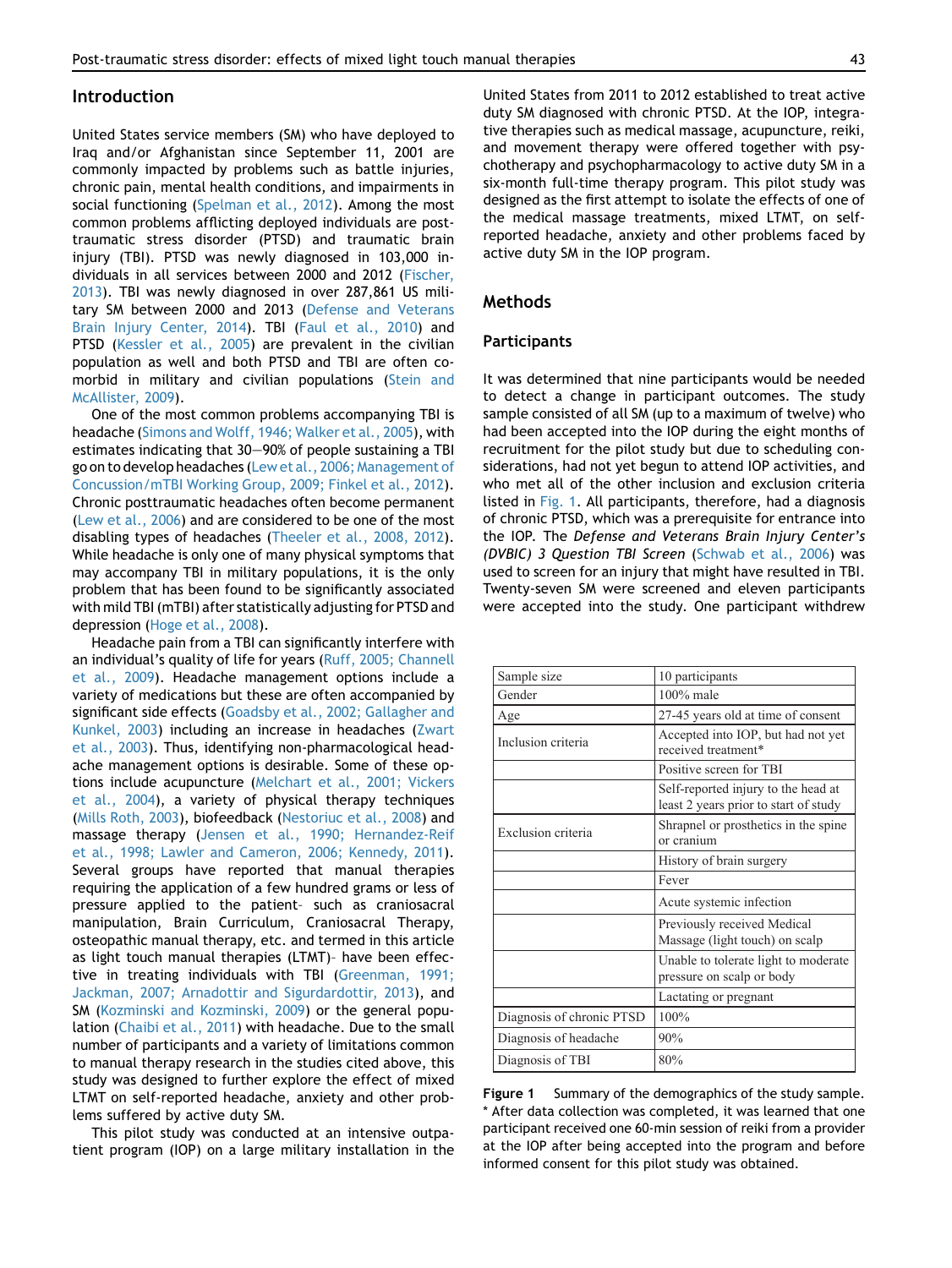## <span id="page-1-0"></span>Introduction

United States service members (SM) who have deployed to Iraq and/or Afghanistan since September 11, 2001 are commonly impacted by problems such as battle injuries, chronic pain, mental health conditions, and impairments in social functioning [\(Spelman et al., 2012](#page-8-0)). Among the most common problems afflicting deployed individuals are posttraumatic stress disorder (PTSD) and traumatic brain injury (TBI). PTSD was newly diagnosed in 103,000 individuals in all services between 2000 and 2012 ([Fischer,](#page-7-0) [2013](#page-7-0)). TBI was newly diagnosed in over 287,861 US military SM between 2000 and 2013 [\(Defense and Veterans](#page-7-0) [Brain Injury Center, 2014](#page-7-0)). TBI [\(Faul et al., 2010](#page-7-0)) and PTSD [\(Kessler et al., 2005\)](#page-8-0) are prevalent in the civilian population as well and both PTSD and TBI are often comorbid in military and civilian populations [\(Stein and](#page-8-0) [McAllister, 2009](#page-8-0)).

One of the most common problems accompanying TBI is headache [\(Simons and Wolff, 1946; Walker et al., 2005\)](#page-8-0), with estimates indicating that  $30-90%$  of people sustaining a TBI go on to develop headaches [\(Lew et al., 2006; Management of](#page-8-0) [Concussion/mTBI Working Group, 2009; Finkel et al., 2012\)](#page-8-0). Chronic posttraumatic headaches often become permanent ([Lew et al., 2006](#page-8-0)) and are considered to be one of the most disabling types of headaches [\(Theeler et al., 2008, 2012\)](#page-8-0). While headache is only one of many physical symptoms that may accompany TBI in military populations, it is the only problem that has been found to be significantly associated with mild TBI (mTBI) after statistically adjusting for PTSD and depression ([Hoge et al., 2008\)](#page-8-0).

Headache pain from a TBI can significantly interfere with an individual's quality of life for years ([Ruff, 2005; Channell](#page-8-0) [et al., 2009\)](#page-8-0). Headache management options include a variety of medications but these are often accompanied by significant side effects [\(Goadsby et al., 2002; Gallagher and](#page-7-0) [Kunkel, 2003\)](#page-7-0) including an increase in headaches ([Zwart](#page-9-0) [et al., 2003\)](#page-9-0). Thus, identifying non-pharmacological headache management options is desirable. Some of these options include acupuncture [\(Melchart et al., 2001; Vickers](#page-8-0) [et al., 2004](#page-8-0)), a variety of physical therapy techniques ([Mills Roth, 2003](#page-8-0)), biofeedback ([Nestoriuc et al., 2008\)](#page-8-0) and massage therapy ([Jensen et al., 1990; Hernandez-Reif](#page-8-0) [et al., 1998; Lawler and Cameron, 2006; Kennedy, 2011\)](#page-8-0). Several groups have reported that manual therapies requiring the application of a few hundred grams or less of pressure applied to the patient– such as craniosacral manipulation, Brain Curriculum, Craniosacral Therapy, osteopathic manual therapy, etc. and termed in this article as light touch manual therapies (LTMT)– have been effective in treating individuals with TBI ([Greenman, 1991;](#page-7-0) [Jackman, 2007; Arnadottir and Sigurdardottir, 2013](#page-7-0)), and SM [\(Kozminski and Kozminski, 2009\)](#page-8-0) or the general population [\(Chaibi et al., 2011](#page-7-0)) with headache. Due to the small number of participants and a variety of limitations common to manual therapy research in the studies cited above, this study was designed to further explore the effect of mixed LTMT on self-reported headache, anxiety and other problems suffered by active duty SM.

This pilot study was conducted at an intensive outpatient program (IOP) on a large military installation in the United States from 2011 to 2012 established to treat active duty SM diagnosed with chronic PTSD. At the IOP, integrative therapies such as medical massage, acupuncture, reiki, and movement therapy were offered together with psychotherapy and psychopharmacology to active duty SM in a six-month full-time therapy program. This pilot study was designed as the first attempt to isolate the effects of one of the medical massage treatments, mixed LTMT, on selfreported headache, anxiety and other problems faced by active duty SM in the IOP program.

## Methods

#### **Participants**

It was determined that nine participants would be needed to detect a change in participant outcomes. The study sample consisted of all SM (up to a maximum of twelve) who had been accepted into the IOP during the eight months of recruitment for the pilot study but due to scheduling considerations, had not yet begun to attend IOP activities, and who met all of the other inclusion and exclusion criteria listed in Fig. 1. All participants, therefore, had a diagnosis of chronic PTSD, which was a prerequisite for entrance into the IOP. The Defense and Veterans Brain Injury Center's (DVBIC) 3 Question TBI Screen [\(Schwab et al., 2006](#page-8-0)) was used to screen for an injury that might have resulted in TBI. Twenty-seven SM were screened and eleven participants were accepted into the study. One participant withdrew

| Sample size               | 10 participants                                                              |  |  |  |
|---------------------------|------------------------------------------------------------------------------|--|--|--|
| Gender                    | 100% male                                                                    |  |  |  |
| Age                       | 27-45 years old at time of consent                                           |  |  |  |
| Inclusion criteria        | Accepted into IOP, but had not yet<br>received treatment*                    |  |  |  |
|                           | Positive screen for TBI                                                      |  |  |  |
|                           | Self-reported injury to the head at<br>least 2 years prior to start of study |  |  |  |
| Exclusion criteria        | Shrapnel or prosthetics in the spine<br>or cranium                           |  |  |  |
|                           | History of brain surgery                                                     |  |  |  |
|                           | Fever                                                                        |  |  |  |
|                           | Acute systemic infection                                                     |  |  |  |
|                           | Previously received Medical<br>Massage (light touch) on scalp                |  |  |  |
|                           | Unable to tolerate light to moderate<br>pressure on scalp or body            |  |  |  |
|                           | Lactating or pregnant                                                        |  |  |  |
| Diagnosis of chronic PTSD | 100%                                                                         |  |  |  |
| Diagnosis of headache     | 90%                                                                          |  |  |  |
| Diagnosis of TBI          | 80%                                                                          |  |  |  |

Figure 1 Summary of the demographics of the study sample. \* After data collection was completed, it was learned that one participant received one 60-min session of reiki from a provider at the IOP after being accepted into the program and before informed consent for this pilot study was obtained.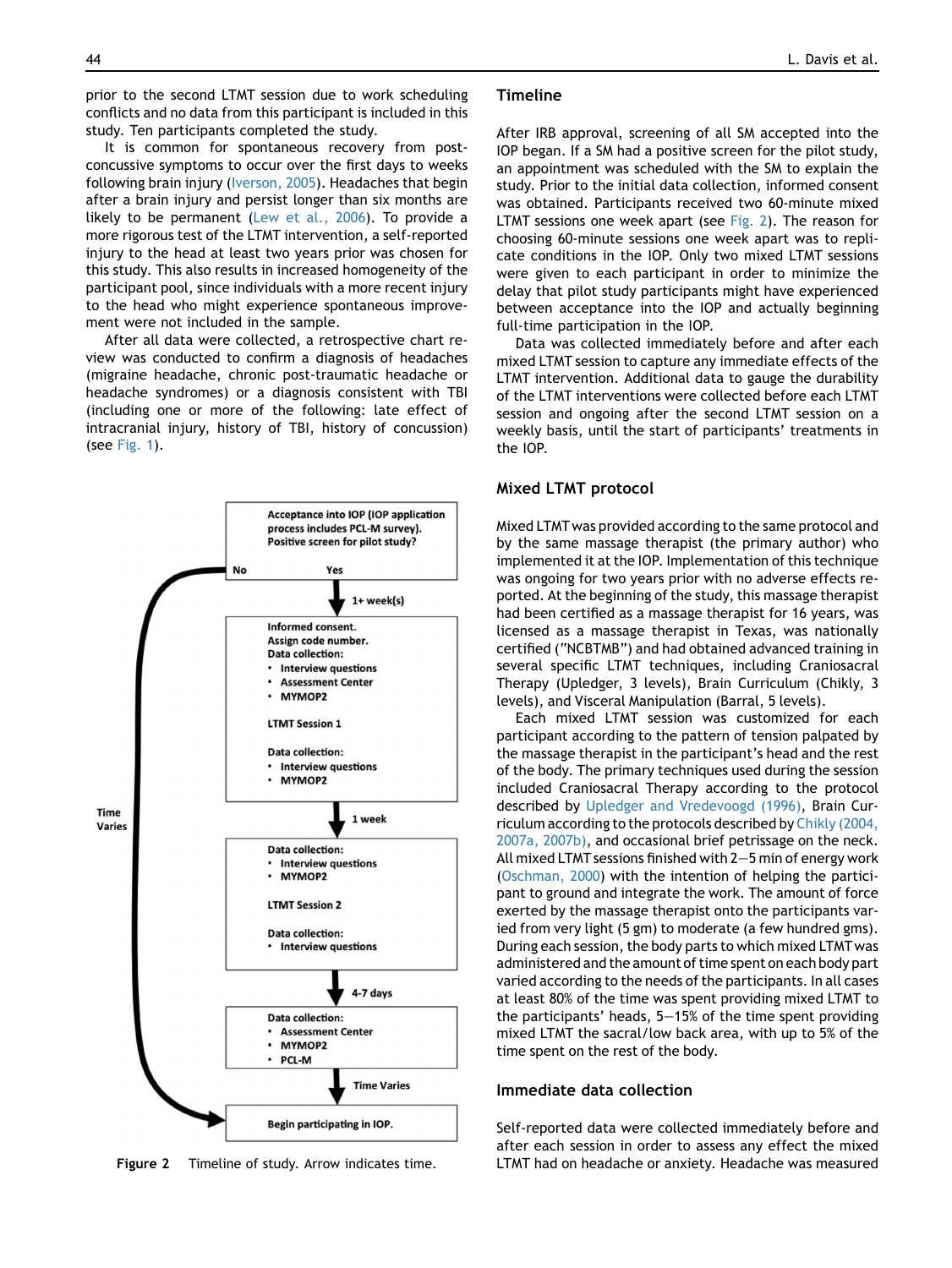prior to the second LTMT session due to work scheduling conflicts and no data from this participant is included in this study. Ten participants completed the study.

It is common for spontaneous recovery from postconcussive symptoms to occur over the first days to weeks following brain injury ([Iverson, 2005\)](#page-8-0). Headaches that begin after a brain injury and persist longer than six months are likely to be permanent ([Lew et al., 2006\)](#page-8-0). To provide a more rigorous test of the LTMT intervention, a self-reported injury to the head at least two years prior was chosen for this study. This also results in increased homogeneity of the participant pool, since individuals with a more recent injury to the head who might experience spontaneous improvement were not included in the sample.

After all data were collected, a retrospective chart review was conducted to confirm a diagnosis of headaches (migraine headache, chronic post-traumatic headache or headache syndromes) or a diagnosis consistent with TBI (including one or more of the following: late effect of intracranial injury, history of TBI, history of concussion) (see [Fig. 1](#page-1-0)).



### Timeline

After IRB approval, screening of all SM accepted into the IOP began. If a SM had a positive screen for the pilot study, an appointment was scheduled with the SM to explain the study. Prior to the initial data collection, informed consent was obtained. Participants received two 60-minute mixed LTMT sessions one week apart (see Fig. 2). The reason for choosing 60-minute sessions one week apart was to replicate conditions in the IOP. Only two mixed LTMT sessions were given to each participant in order to minimize the delay that pilot study participants might have experienced between acceptance into the IOP and actually beginning full-time participation in the IOP.

Data was collected immediately before and after each mixed LTMT session to capture any immediate effects of the LTMT intervention. Additional data to gauge the durability of the LTMT interventions were collected before each LTMT session and ongoing after the second LTMT session on a weekly basis, until the start of participants' treatments in the IOP.

## Mixed LTMT protocol

Mixed LTMTwas provided according to the same protocol and by the same massage therapist (the primary author) who implemented it at the IOP. Implementation of this technique was ongoing for two years prior with no adverse effects reported. At the beginning of the study, this massage therapist had been certified as a massage therapist for 16 years, was licensed as a massage therapist in Texas, was nationally certified ("NCBTMB") and had obtained advanced training in several specific LTMT techniques, including Craniosacral Therapy (Upledger, 3 levels), Brain Curriculum (Chikly, 3 levels), and Visceral Manipulation (Barral, 5 levels).

Each mixed LTMT session was customized for each participant according to the pattern of tension palpated by the massage therapist in the participant's head and the rest of the body. The primary techniques used during the session included Craniosacral Therapy according to the protocol described by [Upledger and Vredevoogd \(1996\)](#page-9-0), Brain Curriculum according to the protocols described by [Chikly \(2004,](#page-7-0) [2007a, 2007b\),](#page-7-0) and occasional brief petrissage on the neck. All mixed LTMT sessions finished with  $2-5$  min of energy work [\(Oschman, 2000\)](#page-8-0) with the intention of helping the participant to ground and integrate the work. The amount of force exerted by the massage therapist onto the participants varied from very light (5 gm) to moderate (a few hundred gms). During each session, the body parts to which mixed LTMT was administered and the amount of time spent on each body part varied according to the needs of the participants. In all cases at least 80% of the time was spent providing mixed LTMT to the participants' heads,  $5-15%$  of the time spent providing mixed LTMT the sacral/low back area, with up to 5% of the time spent on the rest of the body.

## Immediate data collection

Self-reported data were collected immediately before and after each session in order to assess any effect the mixed Figure 2 Timeline of study. Arrow indicates time. LTMT had on headache or anxiety. Headache was measured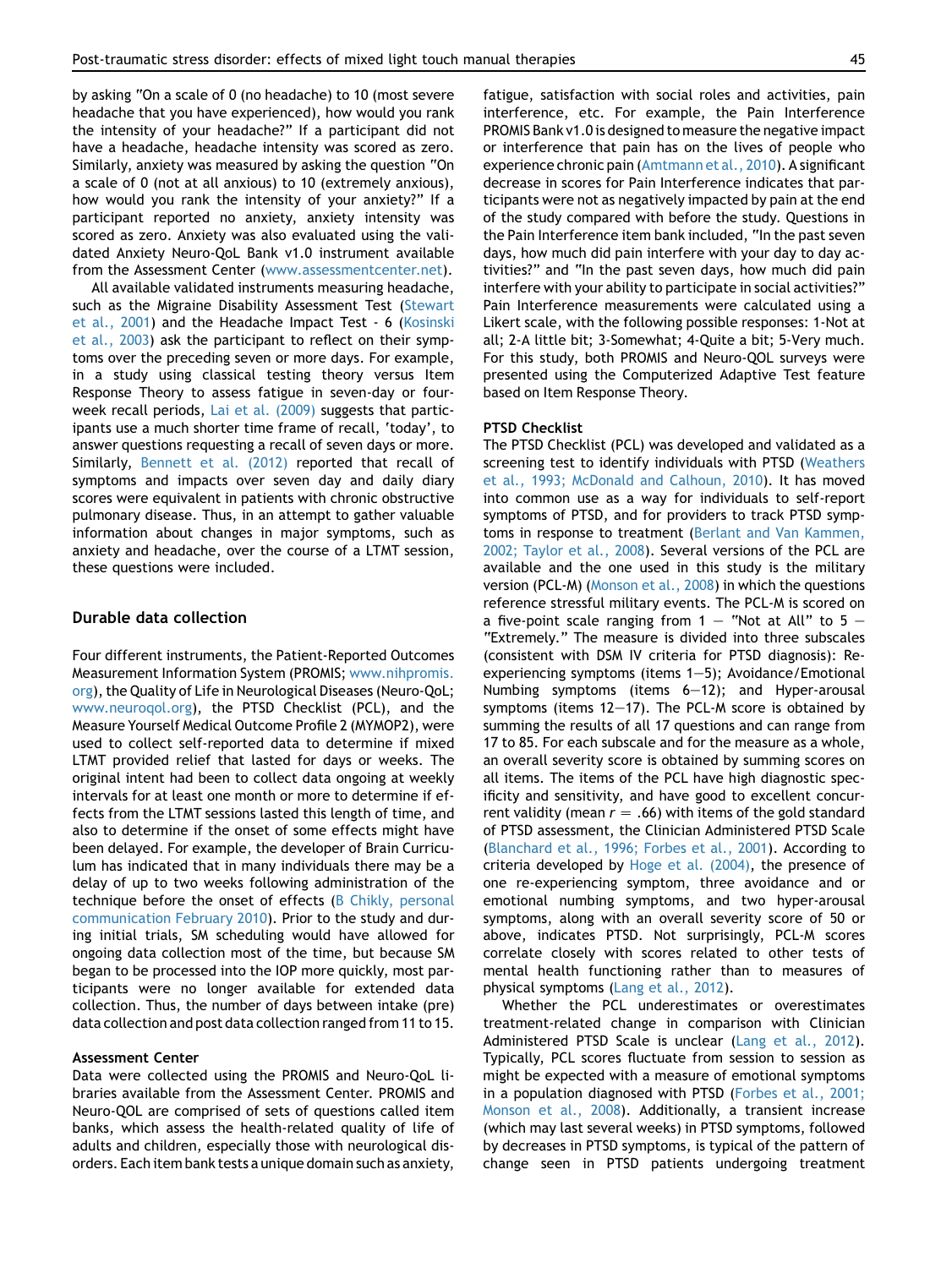by asking "On a scale of 0 (no headache) to 10 (most severe headache that you have experienced), how would you rank the intensity of your headache?" If a participant did not have a headache, headache intensity was scored as zero. Similarly, anxiety was measured by asking the question "On a scale of 0 (not at all anxious) to 10 (extremely anxious), how would you rank the intensity of your anxiety?" If a participant reported no anxiety, anxiety intensity was scored as zero. Anxiety was also evaluated using the validated Anxiety Neuro-QoL Bank v1.0 instrument available from the Assessment Center [\(www.assessmentcenter.net\)](http://www.assessmentcenter.net).

All available validated instruments measuring headache, such as the Migraine Disability Assessment Test [\(Stewart](#page-8-0) [et al., 2001](#page-8-0)) and the Headache Impact Test - 6 ([Kosinski](#page-8-0) [et al., 2003](#page-8-0)) ask the participant to reflect on their symptoms over the preceding seven or more days. For example, in a study using classical testing theory versus Item Response Theory to assess fatigue in seven-day or fourweek recall periods, [Lai et al. \(2009\)](#page-8-0) suggests that participants use a much shorter time frame of recall, 'today', to answer questions requesting a recall of seven days or more. Similarly, [Bennett et al. \(2012\)](#page-7-0) reported that recall of symptoms and impacts over seven day and daily diary scores were equivalent in patients with chronic obstructive pulmonary disease. Thus, in an attempt to gather valuable information about changes in major symptoms, such as anxiety and headache, over the course of a LTMT session, these questions were included.

## Durable data collection

Four different instruments, the Patient-Reported Outcomes Measurement Information System (PROMIS; [www.nihpromis.](http://www.nihpromis.org) [org](http://www.nihpromis.org)), the Quality of Life in Neurological Diseases (Neuro-QoL; [www.neuroqol.org](http://www.neuroqol.org)), the PTSD Checklist (PCL), and the Measure Yourself Medical Outcome Profile 2 (MYMOP2), were used to collect self-reported data to determine if mixed LTMT provided relief that lasted for days or weeks. The original intent had been to collect data ongoing at weekly intervals for at least one month or more to determine if effects from the LTMT sessions lasted this length of time, and also to determine if the onset of some effects might have been delayed. For example, the developer of Brain Curriculum has indicated that in many individuals there may be a delay of up to two weeks following administration of the technique before the onset of effects  $(B$  Chikly, personal [communication February 2010](#page-7-0)). Prior to the study and during initial trials, SM scheduling would have allowed for ongoing data collection most of the time, but because SM began to be processed into the IOP more quickly, most participants were no longer available for extended data collection. Thus, the number of days between intake (pre) data collection and post data collection ranged from 11 to 15.

#### Assessment Center

Data were collected using the PROMIS and Neuro-QoL libraries available from the Assessment Center. PROMIS and Neuro-QOL are comprised of sets of questions called item banks, which assess the health-related quality of life of adults and children, especially those with neurological disorders. Each item bank tests a unique domain such as anxiety, fatigue, satisfaction with social roles and activities, pain interference, etc. For example, the Pain Interference PROMIS Bank v1.0 is designed to measure the negative impact or interference that pain has on the lives of people who experience chronic pain ([Amtmann et al., 2010\)](#page-7-0). A significant decrease in scores for Pain Interference indicates that participants were not as negatively impacted by pain at the end of the study compared with before the study. Questions in the Pain Interference item bank included, "In the past seven days, how much did pain interfere with your day to day activities?" and "In the past seven days, how much did pain interfere with your ability to participate in social activities?" Pain Interference measurements were calculated using a Likert scale, with the following possible responses: 1-Not at all; 2-A little bit; 3-Somewhat; 4-Quite a bit; 5-Very much. For this study, both PROMIS and Neuro-QOL surveys were presented using the Computerized Adaptive Test feature based on Item Response Theory.

#### PTSD Checklist

The PTSD Checklist (PCL) was developed and validated as a screening test to identify individuals with PTSD ([Weathers](#page-9-0) [et al., 1993; McDonald and Calhoun, 2010](#page-9-0)). It has moved into common use as a way for individuals to self-report symptoms of PTSD, and for providers to track PTSD symptoms in response to treatment [\(Berlant and Van Kammen,](#page-7-0) [2002; Taylor et al., 2008\)](#page-7-0). Several versions of the PCL are available and the one used in this study is the military version (PCL-M) ([Monson et al., 2008](#page-8-0)) in which the questions reference stressful military events. The PCL-M is scored on a five-point scale ranging from  $1 -$  "Not at All" to 5  $-$ "Extremely." The measure is divided into three subscales (consistent with DSM IV criteria for PTSD diagnosis): Reexperiencing symptoms (items  $1-5$ ); Avoidance/Emotional Numbing symptoms (items  $6-12$ ); and Hyper-arousal symptoms (items  $12-17$ ). The PCL-M score is obtained by summing the results of all 17 questions and can range from 17 to 85. For each subscale and for the measure as a whole, an overall severity score is obtained by summing scores on all items. The items of the PCL have high diagnostic specificity and sensitivity, and have good to excellent concurrent validity (mean  $r = .66$ ) with items of the gold standard of PTSD assessment, the Clinician Administered PTSD Scale ([Blanchard et al., 1996; Forbes et al., 2001\)](#page-7-0). According to criteria developed by [Hoge et al. \(2004\)](#page-8-0), the presence of one re-experiencing symptom, three avoidance and or emotional numbing symptoms, and two hyper-arousal symptoms, along with an overall severity score of 50 or above, indicates PTSD. Not surprisingly, PCL-M scores correlate closely with scores related to other tests of mental health functioning rather than to measures of physical symptoms [\(Lang et al., 2012](#page-8-0)).

Whether the PCL underestimates or overestimates treatment-related change in comparison with Clinician Administered PTSD Scale is unclear ([Lang et al., 2012\)](#page-8-0). Typically, PCL scores fluctuate from session to session as might be expected with a measure of emotional symptoms in a population diagnosed with PTSD ([Forbes et al., 2001;](#page-7-0) [Monson et al., 2008\)](#page-7-0). Additionally, a transient increase (which may last several weeks) in PTSD symptoms, followed by decreases in PTSD symptoms, is typical of the pattern of change seen in PTSD patients undergoing treatment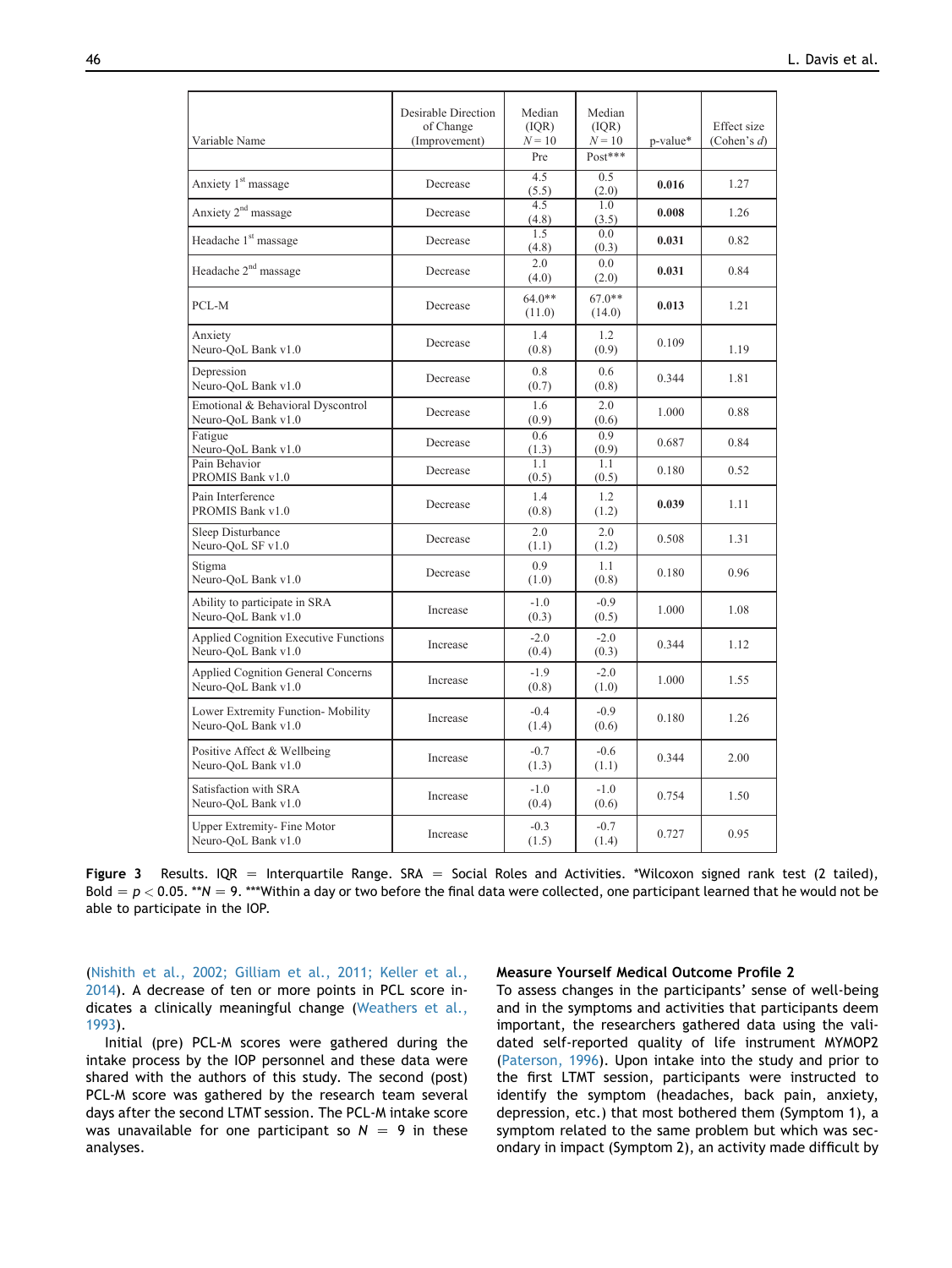<span id="page-4-0"></span>

| Variable Name                                                       | Desirable Direction<br>of Change<br>(Improvement) | Median<br>(IOR)<br>$N = 10$<br>Pre | Median<br>(IOR)<br>$N = 10$<br>Post*** | p-value* | <b>Effect</b> size<br>(Cohen's $d$ ) |
|---------------------------------------------------------------------|---------------------------------------------------|------------------------------------|----------------------------------------|----------|--------------------------------------|
| Anxiety 1 <sup>st</sup> massage                                     | Decrease                                          | 4.5<br>(5.5)                       | 0.5<br>(2.0)                           | 0.016    | 1.27                                 |
| Anxiety 2 <sup>nd</sup> massage                                     | Decrease                                          | 4.5<br>(4.8)                       | 1.0<br>(3.5)                           | 0.008    | 1.26                                 |
| Headache 1 <sup>st</sup> massage                                    | Decrease                                          | 1.5<br>(4.8)                       | 0.0<br>(0.3)                           | 0.031    | 0.82                                 |
| Headache 2 <sup>nd</sup> massage                                    | Decrease                                          | 2.0<br>(4.0)                       | 0.0<br>(2.0)                           | 0.031    | 0.84                                 |
| PCL-M                                                               | Decrease                                          | $64.0**$<br>(11.0)                 | $67.0**$<br>(14.0)                     | 0.013    | 1.21                                 |
| Anxiety<br>Neuro-QoL Bank v1.0                                      | Decrease                                          | 1.4<br>(0.8)                       | 1.2<br>(0.9)                           | 0.109    | 1.19                                 |
| Depression<br>Neuro-OoL Bank v1.0                                   | Decrease                                          | 0.8<br>(0.7)                       | 0.6<br>(0.8)                           | 0.344    | 1.81                                 |
| Emotional & Behavioral Dyscontrol<br>Neuro-OoL Bank v1.0            | Decrease                                          | 1.6<br>(0.9)                       | 2.0<br>(0.6)                           | 1.000    | 0.88                                 |
| Fatigue<br>Neuro-OoL Bank v1.0                                      | Decrease                                          | 0.6<br>(1.3)                       | 0.9<br>(0.9)                           | 0.687    | 0.84                                 |
| Pain Behavior<br>PROMIS Bank v1.0                                   | Decrease                                          | 1.1<br>(0.5)                       | 1.1<br>(0.5)                           | 0.180    | 0.52                                 |
| Pain Interference<br>PROMIS Bank v1.0                               | Decrease                                          | 1.4<br>(0.8)                       | 1.2<br>(1.2)                           | 0.039    | 1.11                                 |
| Sleep Disturbance<br>Neuro-QoL SF v1.0                              | Decrease                                          | 2.0<br>(1.1)                       | 2.0<br>(1.2)                           | 0.508    | 1.31                                 |
| Stigma<br>Neuro-QoL Bank v1.0                                       | Decrease                                          | 0.9<br>(1.0)                       | 1.1<br>(0.8)                           | 0.180    | 0.96                                 |
| Ability to participate in SRA<br>Neuro-QoL Bank v1.0                | Increase                                          | $-1.0$<br>(0.3)                    | $-0.9$<br>(0.5)                        | 1.000    | 1.08                                 |
| <b>Applied Cognition Executive Functions</b><br>Neuro-OoL Bank v1.0 | Increase                                          | $-2.0$<br>(0.4)                    | $-2.0$<br>(0.3)                        | 0.344    | 1.12                                 |
| <b>Applied Cognition General Concerns</b><br>Neuro-OoL Bank v1.0    | Increase                                          | $-1.9$<br>(0.8)                    | $-2.0$<br>(1.0)                        | 1.000    | 1.55                                 |
| Lower Extremity Function-Mobility<br>Neuro-OoL Bank v1.0            | Increase                                          | $-0.4$<br>(1.4)                    | $-0.9$<br>(0.6)                        | 0.180    | 1.26                                 |
| Positive Affect & Wellbeing<br>Neuro-OoL Bank v1.0                  | Increase                                          | $-0.7$<br>(1.3)                    | $-0.6$<br>(1.1)                        | 0.344    | 2.00                                 |
| Satisfaction with SRA<br>Neuro-QoL Bank v1.0                        | Increase                                          | $-1.0$<br>(0.4)                    | $-1.0$<br>(0.6)                        | 0.754    | 1.50                                 |
| <b>Upper Extremity-Fine Motor</b><br>Neuro-QoL Bank v1.0            | Increase                                          | $-0.3$<br>(1.5)                    | $-0.7$<br>(1.4)                        | 0.727    | 0.95                                 |

Figure 3 Results. IQR = Interquartile Range. SRA = Social Roles and Activities. \*Wilcoxon signed rank test (2 tailed), Bold  $= p < 0.05$ . \*\*N  $= 9$ . \*\*\*Within a day or two before the final data were collected, one participant learned that he would not be able to participate in the IOP.

[\(Nishith et al., 2002; Gilliam et al., 2011; Keller et al.,](#page-8-0) [2014](#page-8-0)). A decrease of ten or more points in PCL score indicates a clinically meaningful change [\(Weathers et al.,](#page-9-0) [1993](#page-9-0)).

Initial (pre) PCL-M scores were gathered during the intake process by the IOP personnel and these data were shared with the authors of this study. The second (post) PCL-M score was gathered by the research team several days after the second LTMT session. The PCL-M intake score was unavailable for one participant so  $N = 9$  in these analyses.

#### Measure Yourself Medical Outcome Profile 2

To assess changes in the participants' sense of well-being and in the symptoms and activities that participants deem important, the researchers gathered data using the validated self-reported quality of life instrument MYMOP2 [\(Paterson, 1996\)](#page-8-0). Upon intake into the study and prior to the first LTMT session, participants were instructed to identify the symptom (headaches, back pain, anxiety, depression, etc.) that most bothered them (Symptom 1), a symptom related to the same problem but which was secondary in impact (Symptom 2), an activity made difficult by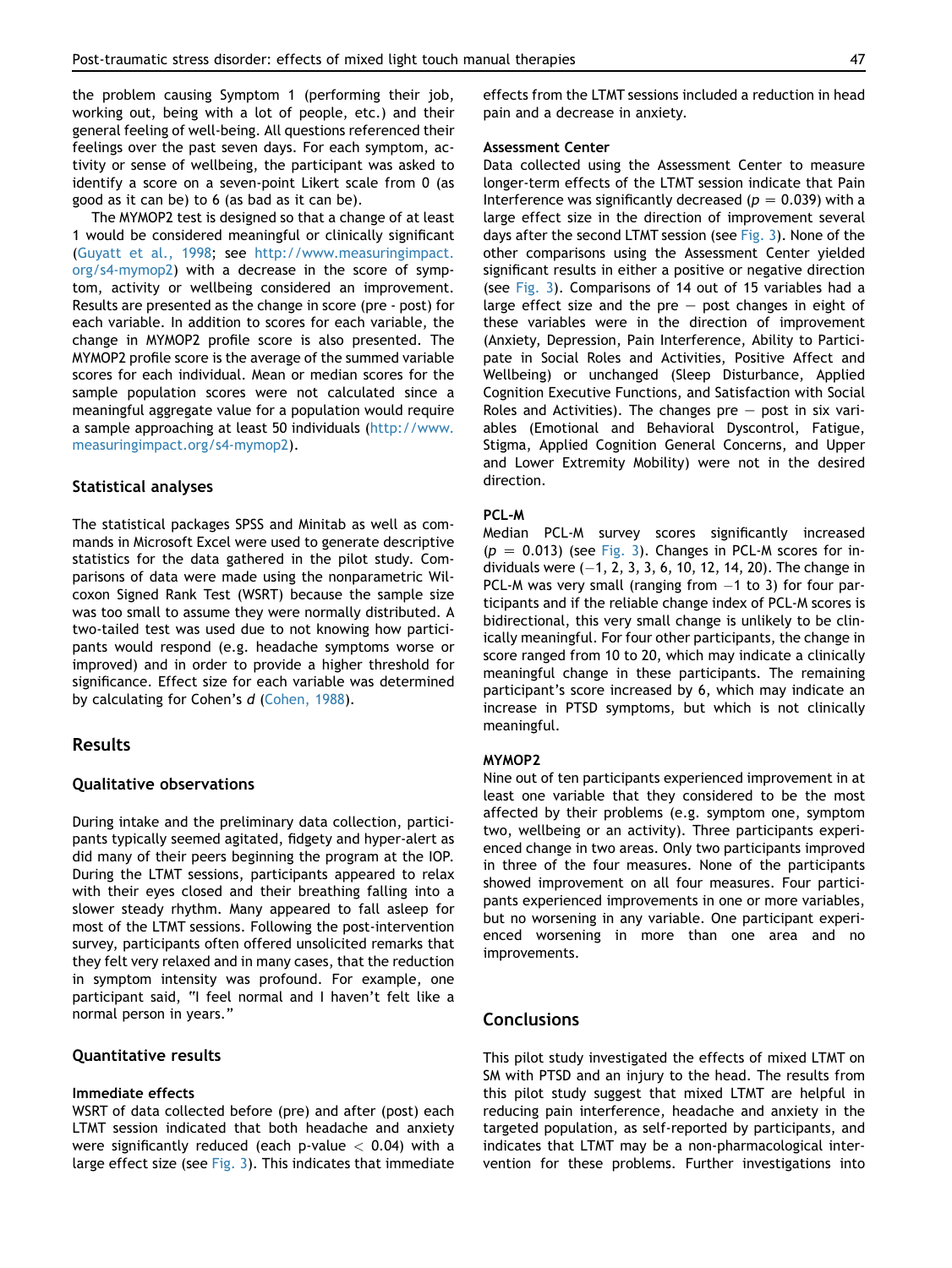the problem causing Symptom 1 (performing their job, working out, being with a lot of people, etc.) and their general feeling of well-being. All questions referenced their feelings over the past seven days. For each symptom, activity or sense of wellbeing, the participant was asked to identify a score on a seven-point Likert scale from 0 (as good as it can be) to 6 (as bad as it can be).

The MYMOP2 test is designed so that a change of at least 1 would be considered meaningful or clinically significant ([Guyatt et al., 1998](#page-8-0); see [http://www.measuringimpact.](http://www.measuringimpact.org/s4-mymop2) [org/s4-mymop2](http://www.measuringimpact.org/s4-mymop2)) with a decrease in the score of symptom, activity or wellbeing considered an improvement. Results are presented as the change in score (pre - post) for each variable. In addition to scores for each variable, the change in MYMOP2 profile score is also presented. The MYMOP2 profile score is the average of the summed variable scores for each individual. Mean or median scores for the sample population scores were not calculated since a meaningful aggregate value for a population would require a sample approaching at least 50 individuals ([http://www.](http://www.measuringimpact.org/s4-mymop2) [measuringimpact.org/s4-mymop2\)](http://www.measuringimpact.org/s4-mymop2).

#### Statistical analyses

The statistical packages SPSS and Minitab as well as commands in Microsoft Excel were used to generate descriptive statistics for the data gathered in the pilot study. Comparisons of data were made using the nonparametric Wilcoxon Signed Rank Test (WSRT) because the sample size was too small to assume they were normally distributed. A two-tailed test was used due to not knowing how participants would respond (e.g. headache symptoms worse or improved) and in order to provide a higher threshold for significance. Effect size for each variable was determined by calculating for Cohen's d ([Cohen, 1988\)](#page-7-0).

## Results

#### Qualitative observations

During intake and the preliminary data collection, participants typically seemed agitated, fidgety and hyper-alert as did many of their peers beginning the program at the IOP. During the LTMT sessions, participants appeared to relax with their eyes closed and their breathing falling into a slower steady rhythm. Many appeared to fall asleep for most of the LTMT sessions. Following the post-intervention survey, participants often offered unsolicited remarks that they felt very relaxed and in many cases, that the reduction in symptom intensity was profound. For example, one participant said, "I feel normal and I haven't felt like a normal person in years."

## Quantitative results

#### Immediate effects

WSRT of data collected before (pre) and after (post) each LTMT session indicated that both headache and anxiety were significantly reduced (each p-value  $<$  0.04) with a large effect size (see [Fig. 3\)](#page-4-0). This indicates that immediate effects from the LTMT sessions included a reduction in head pain and a decrease in anxiety.

#### Assessment Center

Data collected using the Assessment Center to measure longer-term effects of the LTMT session indicate that Pain Interference was significantly decreased ( $p = 0.039$ ) with a large effect size in the direction of improvement several days after the second LTMT session (see [Fig. 3\)](#page-4-0). None of the other comparisons using the Assessment Center yielded significant results in either a positive or negative direction (see [Fig. 3](#page-4-0)). Comparisons of 14 out of 15 variables had a large effect size and the pre  $-$  post changes in eight of these variables were in the direction of improvement (Anxiety, Depression, Pain Interference, Ability to Participate in Social Roles and Activities, Positive Affect and Wellbeing) or unchanged (Sleep Disturbance, Applied Cognition Executive Functions, and Satisfaction with Social Roles and Activities). The changes pre  $-$  post in six variables (Emotional and Behavioral Dyscontrol, Fatigue, Stigma, Applied Cognition General Concerns, and Upper and Lower Extremity Mobility) were not in the desired direction.

## PCL-M

Median PCL-M survey scores significantly increased  $(p = 0.013)$  (see [Fig. 3\)](#page-4-0). Changes in PCL-M scores for individuals were  $(-1, 2, 3, 3, 6, 10, 12, 14, 20)$ . The change in PCL-M was very small (ranging from  $-1$  to 3) for four participants and if the reliable change index of PCL-M scores is bidirectional, this very small change is unlikely to be clinically meaningful. For four other participants, the change in score ranged from 10 to 20, which may indicate a clinically meaningful change in these participants. The remaining participant's score increased by 6, which may indicate an increase in PTSD symptoms, but which is not clinically meaningful.

#### MYMOP2

Nine out of ten participants experienced improvement in at least one variable that they considered to be the most affected by their problems (e.g. symptom one, symptom two, wellbeing or an activity). Three participants experienced change in two areas. Only two participants improved in three of the four measures. None of the participants showed improvement on all four measures. Four participants experienced improvements in one or more variables, but no worsening in any variable. One participant experienced worsening in more than one area and no improvements.

## **Conclusions**

This pilot study investigated the effects of mixed LTMT on SM with PTSD and an injury to the head. The results from this pilot study suggest that mixed LTMT are helpful in reducing pain interference, headache and anxiety in the targeted population, as self-reported by participants, and indicates that LTMT may be a non-pharmacological intervention for these problems. Further investigations into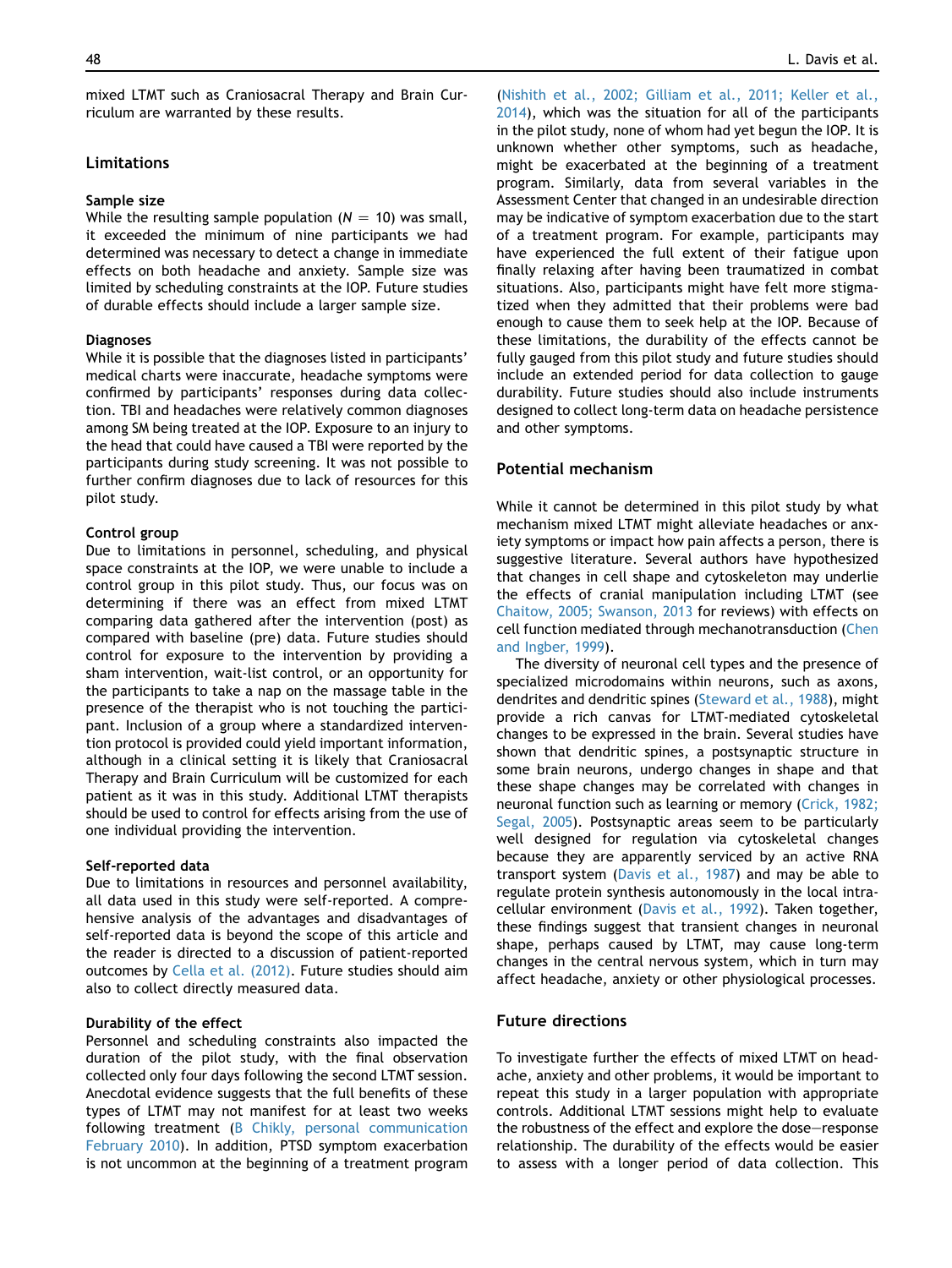mixed LTMT such as Craniosacral Therapy and Brain Curriculum are warranted by these results.

#### Limitations

#### Sample size

While the resulting sample population ( $N = 10$ ) was small, it exceeded the minimum of nine participants we had determined was necessary to detect a change in immediate effects on both headache and anxiety. Sample size was limited by scheduling constraints at the IOP. Future studies of durable effects should include a larger sample size.

#### Diagnoses

While it is possible that the diagnoses listed in participants' medical charts were inaccurate, headache symptoms were confirmed by participants' responses during data collection. TBI and headaches were relatively common diagnoses among SM being treated at the IOP. Exposure to an injury to the head that could have caused a TBI were reported by the participants during study screening. It was not possible to further confirm diagnoses due to lack of resources for this pilot study.

#### Control group

Due to limitations in personnel, scheduling, and physical space constraints at the IOP, we were unable to include a control group in this pilot study. Thus, our focus was on determining if there was an effect from mixed LTMT comparing data gathered after the intervention (post) as compared with baseline (pre) data. Future studies should control for exposure to the intervention by providing a sham intervention, wait-list control, or an opportunity for the participants to take a nap on the massage table in the presence of the therapist who is not touching the participant. Inclusion of a group where a standardized intervention protocol is provided could yield important information, although in a clinical setting it is likely that Craniosacral Therapy and Brain Curriculum will be customized for each patient as it was in this study. Additional LTMT therapists should be used to control for effects arising from the use of one individual providing the intervention.

#### Self-reported data

Due to limitations in resources and personnel availability, all data used in this study were self-reported. A comprehensive analysis of the advantages and disadvantages of self-reported data is beyond the scope of this article and the reader is directed to a discussion of patient-reported outcomes by [Cella et al. \(2012\).](#page-7-0) Future studies should aim also to collect directly measured data.

#### Durability of the effect

Personnel and scheduling constraints also impacted the duration of the pilot study, with the final observation collected only four days following the second LTMT session. Anecdotal evidence suggests that the full benefits of these types of LTMT may not manifest for at least two weeks following treatment ([B Chikly, personal communication](#page-7-0) [February 2010](#page-7-0)). In addition, PTSD symptom exacerbation is not uncommon at the beginning of a treatment program

[\(Nishith et al., 2002; Gilliam et al., 2011; Keller et al.,](#page-8-0) [2014](#page-8-0)), which was the situation for all of the participants in the pilot study, none of whom had yet begun the IOP. It is unknown whether other symptoms, such as headache, might be exacerbated at the beginning of a treatment program. Similarly, data from several variables in the Assessment Center that changed in an undesirable direction may be indicative of symptom exacerbation due to the start of a treatment program. For example, participants may have experienced the full extent of their fatigue upon finally relaxing after having been traumatized in combat situations. Also, participants might have felt more stigmatized when they admitted that their problems were bad enough to cause them to seek help at the IOP. Because of these limitations, the durability of the effects cannot be fully gauged from this pilot study and future studies should include an extended period for data collection to gauge durability. Future studies should also include instruments designed to collect long-term data on headache persistence and other symptoms.

#### Potential mechanism

While it cannot be determined in this pilot study by what mechanism mixed LTMT might alleviate headaches or anxiety symptoms or impact how pain affects a person, there is suggestive literature. Several authors have hypothesized that changes in cell shape and cytoskeleton may underlie the effects of cranial manipulation including LTMT (see [Chaitow, 2005; Swanson, 2013](#page-7-0) for reviews) with effects on cell function mediated through mechanotransduction ([Chen](#page-7-0) [and Ingber, 1999](#page-7-0)).

The diversity of neuronal cell types and the presence of specialized microdomains within neurons, such as axons, dendrites and dendritic spines [\(Steward et al., 1988](#page-8-0)), might provide a rich canvas for LTMT-mediated cytoskeletal changes to be expressed in the brain. Several studies have shown that dendritic spines, a postsynaptic structure in some brain neurons, undergo changes in shape and that these shape changes may be correlated with changes in neuronal function such as learning or memory ([Crick, 1982;](#page-7-0) [Segal, 2005](#page-7-0)). Postsynaptic areas seem to be particularly well designed for regulation via cytoskeletal changes because they are apparently serviced by an active RNA transport system ([Davis et al., 1987](#page-7-0)) and may be able to regulate protein synthesis autonomously in the local intracellular environment ([Davis et al., 1992\)](#page-7-0). Taken together, these findings suggest that transient changes in neuronal shape, perhaps caused by LTMT, may cause long-term changes in the central nervous system, which in turn may affect headache, anxiety or other physiological processes.

## Future directions

To investigate further the effects of mixed LTMT on headache, anxiety and other problems, it would be important to repeat this study in a larger population with appropriate controls. Additional LTMT sessions might help to evaluate the robustness of the effect and explore the dose $-$ response relationship. The durability of the effects would be easier to assess with a longer period of data collection. This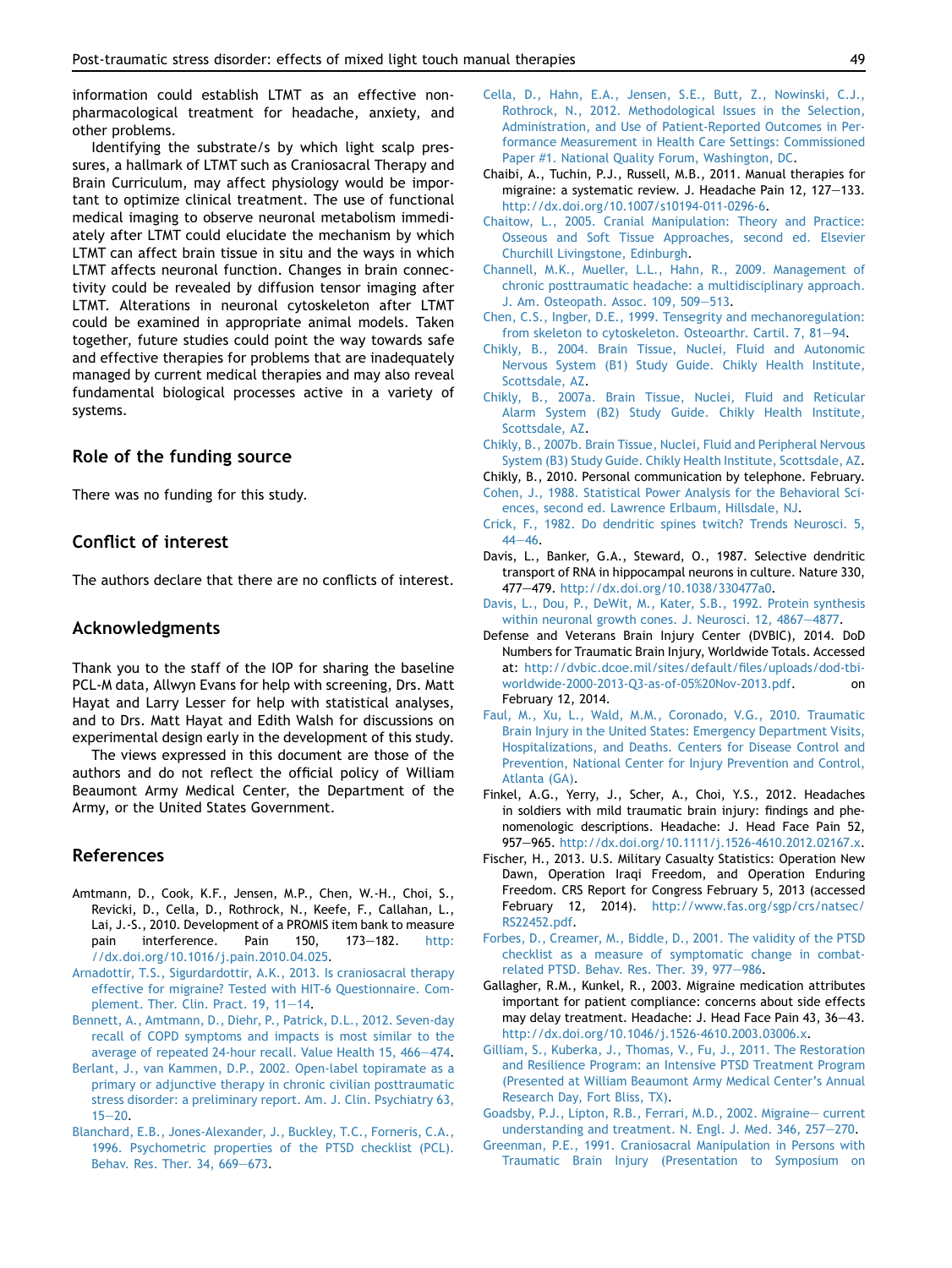<span id="page-7-0"></span>information could establish LTMT as an effective nonpharmacological treatment for headache, anxiety, and other problems.

Identifying the substrate/s by which light scalp pressures, a hallmark of LTMT such as Craniosacral Therapy and Brain Curriculum, may affect physiology would be important to optimize clinical treatment. The use of functional medical imaging to observe neuronal metabolism immediately after LTMT could elucidate the mechanism by which LTMT can affect brain tissue in situ and the ways in which LTMT affects neuronal function. Changes in brain connectivity could be revealed by diffusion tensor imaging after LTMT. Alterations in neuronal cytoskeleton after LTMT could be examined in appropriate animal models. Taken together, future studies could point the way towards safe and effective therapies for problems that are inadequately managed by current medical therapies and may also reveal fundamental biological processes active in a variety of systems.

## Role of the funding source

There was no funding for this study.

## Conflict of interest

The authors declare that there are no conflicts of interest.

## Acknowledgments

Thank you to the staff of the IOP for sharing the baseline PCL-M data, Allwyn Evans for help with screening, Drs. Matt Hayat and Larry Lesser for help with statistical analyses, and to Drs. Matt Hayat and Edith Walsh for discussions on experimental design early in the development of this study.

The views expressed in this document are those of the authors and do not reflect the official policy of William Beaumont Army Medical Center, the Department of the Army, or the United States Government.

## **References**

- Amtmann, D., Cook, K.F., Jensen, M.P., Chen, W.-H., Choi, S., Revicki, D., Cella, D., Rothrock, N., Keefe, F., Callahan, L., Lai, J.-S., 2010. Development of a PROMIS item bank to measure pain interference. Pain 150, 173-182. [http:](http://dx.doi.org/10.1016/j.pain.2010.04.025) [//dx.doi.org/10.1016/j.pain.2010.04.025](http://dx.doi.org/10.1016/j.pain.2010.04.025).
- [Arnadottir, T.S., Sigurdardottir, A.K., 2013. Is craniosacral therapy](http://refhub.elsevier.com/S1360-8592(15)00060-1/sref2) [effective for migraine? Tested with HIT-6 Questionnaire. Com](http://refhub.elsevier.com/S1360-8592(15)00060-1/sref2)[plement. Ther. Clin. Pract. 19, 11](http://refhub.elsevier.com/S1360-8592(15)00060-1/sref2)-[14](http://refhub.elsevier.com/S1360-8592(15)00060-1/sref2).
- [Bennett, A., Amtmann, D., Diehr, P., Patrick, D.L., 2012. Seven-day](http://refhub.elsevier.com/S1360-8592(15)00060-1/sref3) [recall of COPD symptoms and impacts is most similar to the](http://refhub.elsevier.com/S1360-8592(15)00060-1/sref3) [average of repeated 24-hour recall. Value Health 15, 466](http://refhub.elsevier.com/S1360-8592(15)00060-1/sref3)-[474.](http://refhub.elsevier.com/S1360-8592(15)00060-1/sref3)
- [Berlant, J., van Kammen, D.P., 2002. Open-label topiramate as a](http://refhub.elsevier.com/S1360-8592(15)00060-1/sref4) [primary or adjunctive therapy in chronic civilian posttraumatic](http://refhub.elsevier.com/S1360-8592(15)00060-1/sref4) [stress disorder: a preliminary report. Am. J. Clin. Psychiatry 63,](http://refhub.elsevier.com/S1360-8592(15)00060-1/sref4)  $15 - 20.$  $15 - 20.$  $15 - 20.$
- [Blanchard, E.B., Jones-Alexander, J., Buckley, T.C., Forneris, C.A.,](http://refhub.elsevier.com/S1360-8592(15)00060-1/sref5) [1996. Psychometric properties of the PTSD checklist \(PCL\).](http://refhub.elsevier.com/S1360-8592(15)00060-1/sref5) [Behav. Res. Ther. 34, 669](http://refhub.elsevier.com/S1360-8592(15)00060-1/sref5)-[673.](http://refhub.elsevier.com/S1360-8592(15)00060-1/sref5)
- [Cella, D., Hahn, E.A., Jensen, S.E., Butt, Z., Nowinski, C.J.,](http://refhub.elsevier.com/S1360-8592(15)00060-1/sref6) [Rothrock, N., 2012. Methodological Issues in the Selection,](http://refhub.elsevier.com/S1360-8592(15)00060-1/sref6) [Administration, and Use of Patient-Reported Outcomes in Per](http://refhub.elsevier.com/S1360-8592(15)00060-1/sref6)[formance Measurement in Health Care Settings: Commissioned](http://refhub.elsevier.com/S1360-8592(15)00060-1/sref6) [Paper #1. National Quality Forum, Washington, DC](http://refhub.elsevier.com/S1360-8592(15)00060-1/sref6).
- Chaibi, A., Tuchin, P.J., Russell, M.B., 2011. Manual therapies for migraine: a systematic review. J. Headache Pain 12, 127-133. <http://dx.doi.org/10.1007/s10194-011-0296-6>.
- [Chaitow, L., 2005. Cranial Manipulation: Theory and Practice:](http://refhub.elsevier.com/S1360-8592(15)00060-1/sref8) [Osseous and Soft Tissue Approaches, second ed. Elsevier](http://refhub.elsevier.com/S1360-8592(15)00060-1/sref8) [Churchill Livingstone, Edinburgh](http://refhub.elsevier.com/S1360-8592(15)00060-1/sref8).
- [Channell, M.K., Mueller, L.L., Hahn, R., 2009. Management of](http://refhub.elsevier.com/S1360-8592(15)00060-1/sref9) [chronic posttraumatic headache: a multidisciplinary approach.](http://refhub.elsevier.com/S1360-8592(15)00060-1/sref9) [J. Am. Osteopath. Assoc. 109, 509](http://refhub.elsevier.com/S1360-8592(15)00060-1/sref9)-[513.](http://refhub.elsevier.com/S1360-8592(15)00060-1/sref9)
- [Chen, C.S., Ingber, D.E., 1999. Tensegrity and mechanoregulation:](http://refhub.elsevier.com/S1360-8592(15)00060-1/sref10) [from skeleton to cytoskeleton. Osteoarthr. Cartil. 7, 81](http://refhub.elsevier.com/S1360-8592(15)00060-1/sref10)-[94](http://refhub.elsevier.com/S1360-8592(15)00060-1/sref10).
- [Chikly, B., 2004. Brain Tissue, Nuclei, Fluid and Autonomic](http://refhub.elsevier.com/S1360-8592(15)00060-1/sref11) [Nervous System \(B1\) Study Guide. Chikly Health Institute,](http://refhub.elsevier.com/S1360-8592(15)00060-1/sref11) [Scottsdale, AZ](http://refhub.elsevier.com/S1360-8592(15)00060-1/sref11).
- [Chikly, B., 2007a. Brain Tissue, Nuclei, Fluid and Reticular](http://refhub.elsevier.com/S1360-8592(15)00060-1/sref12) [Alarm System \(B2\) Study Guide. Chikly Health Institute,](http://refhub.elsevier.com/S1360-8592(15)00060-1/sref12) [Scottsdale, AZ](http://refhub.elsevier.com/S1360-8592(15)00060-1/sref12).
- [Chikly, B., 2007b. Brain Tissue, Nuclei, Fluid and Peripheral Nervous](http://refhub.elsevier.com/S1360-8592(15)00060-1/sref13) [System \(B3\) Study Guide. Chikly Health Institute, Scottsdale, AZ.](http://refhub.elsevier.com/S1360-8592(15)00060-1/sref13)
- Chikly, B., 2010. Personal communication by telephone. February.
- [Cohen, J., 1988. Statistical Power Analysis for the Behavioral Sci](http://refhub.elsevier.com/S1360-8592(15)00060-1/sref14)[ences, second ed. Lawrence Erlbaum, Hillsdale, NJ](http://refhub.elsevier.com/S1360-8592(15)00060-1/sref14).
- [Crick, F., 1982. Do dendritic spines twitch? Trends Neurosci. 5,](http://refhub.elsevier.com/S1360-8592(15)00060-1/sref15)  $44 - 46.$  $44 - 46.$  $44 - 46.$
- Davis, L., Banker, G.A., Steward, O., 1987. Selective dendritic transport of RNA in hippocampal neurons in culture. Nature 330, 477e479. [http://dx.doi.org/10.1038/330477a0.](http://dx.doi.org/10.1038/330477a0)
- [Davis, L., Dou, P., DeWit, M., Kater, S.B., 1992. Protein synthesis](http://refhub.elsevier.com/S1360-8592(15)00060-1/sref17) [within neuronal growth cones. J. Neurosci. 12, 4867](http://refhub.elsevier.com/S1360-8592(15)00060-1/sref17)-[4877](http://refhub.elsevier.com/S1360-8592(15)00060-1/sref17).
- Defense and Veterans Brain Injury Center (DVBIC), 2014. DoD Numbers for Traumatic Brain Injury, Worldwide Totals. Accessed at: [http://dvbic.dcoe.mil/sites/default/files/uploads/dod-tbi](http://dvbic.dcoe.mil/sites/default/files/uploads/dod-tbi-worldwide-2000-2013-Q3-as-of-05%20Nov-2013.pdf)[worldwide-2000-2013-Q3-as-of-05%20Nov-2013.pdf](http://dvbic.dcoe.mil/sites/default/files/uploads/dod-tbi-worldwide-2000-2013-Q3-as-of-05%20Nov-2013.pdf). February 12, 2014.
- [Faul, M., Xu, L., Wald, M.M., Coronado, V.G., 2010. Traumatic](http://refhub.elsevier.com/S1360-8592(15)00060-1/sref19) [Brain Injury in the United States: Emergency Department Visits,](http://refhub.elsevier.com/S1360-8592(15)00060-1/sref19) [Hospitalizations, and Deaths. Centers for Disease Control and](http://refhub.elsevier.com/S1360-8592(15)00060-1/sref19) [Prevention, National Center for Injury Prevention and Control,](http://refhub.elsevier.com/S1360-8592(15)00060-1/sref19) [Atlanta \(GA\)](http://refhub.elsevier.com/S1360-8592(15)00060-1/sref19).
- Finkel, A.G., Yerry, J., Scher, A., Choi, Y.S., 2012. Headaches in soldiers with mild traumatic brain injury: findings and phenomenologic descriptions. Headache: J. Head Face Pain 52, 957-965. [http://dx.doi.org/10.1111/j.1526-4610.2012.02167.x.](http://dx.doi.org/10.1111/j.1526-4610.2012.02167.x)
- Fischer, H., 2013. U.S. Military Casualty Statistics: Operation New Dawn, Operation Iraqi Freedom, and Operation Enduring Freedom. CRS Report for Congress February 5, 2013 (accessed February 12, 2014). [http://www.fas.org/sgp/crs/natsec/](http://www.fas.org/sgp/crs/natsec/RS22452.pdf) [RS22452.pdf](http://www.fas.org/sgp/crs/natsec/RS22452.pdf).
- [Forbes, D., Creamer, M., Biddle, D., 2001. The validity of the PTSD](http://refhub.elsevier.com/S1360-8592(15)00060-1/sref22) [checklist as a measure of symptomatic change in combat](http://refhub.elsevier.com/S1360-8592(15)00060-1/sref22)[related PTSD. Behav. Res. Ther. 39, 977](http://refhub.elsevier.com/S1360-8592(15)00060-1/sref22)-[986.](http://refhub.elsevier.com/S1360-8592(15)00060-1/sref22)
- Gallagher, R.M., Kunkel, R., 2003. Migraine medication attributes important for patient compliance: concerns about side effects may delay treatment. Headache: J. Head Face Pain 43, 36-43. <http://dx.doi.org/10.1046/j.1526-4610.2003.03006.x>.
- [Gilliam, S., Kuberka, J., Thomas, V., Fu, J., 2011. The Restoration](http://refhub.elsevier.com/S1360-8592(15)00060-1/sref24) [and Resilience Program: an Intensive PTSD Treatment Program](http://refhub.elsevier.com/S1360-8592(15)00060-1/sref24) [\(Presented at William Beaumont Army Medical Center's Annual](http://refhub.elsevier.com/S1360-8592(15)00060-1/sref24) [Research Day, Fort Bliss, TX\).](http://refhub.elsevier.com/S1360-8592(15)00060-1/sref24)
- [Goadsby, P.J., Lipton, R.B., Ferrari, M.D., 2002. Migraine](http://refhub.elsevier.com/S1360-8592(15)00060-1/sref25) [current](http://refhub.elsevier.com/S1360-8592(15)00060-1/sref25) [understanding and treatment. N. Engl. J. Med. 346, 257](http://refhub.elsevier.com/S1360-8592(15)00060-1/sref25)-[270.](http://refhub.elsevier.com/S1360-8592(15)00060-1/sref25)
- [Greenman, P.E., 1991. Craniosacral Manipulation in Persons with](http://refhub.elsevier.com/S1360-8592(15)00060-1/sref26) [Traumatic Brain Injury \(Presentation to Symposium on](http://refhub.elsevier.com/S1360-8592(15)00060-1/sref26)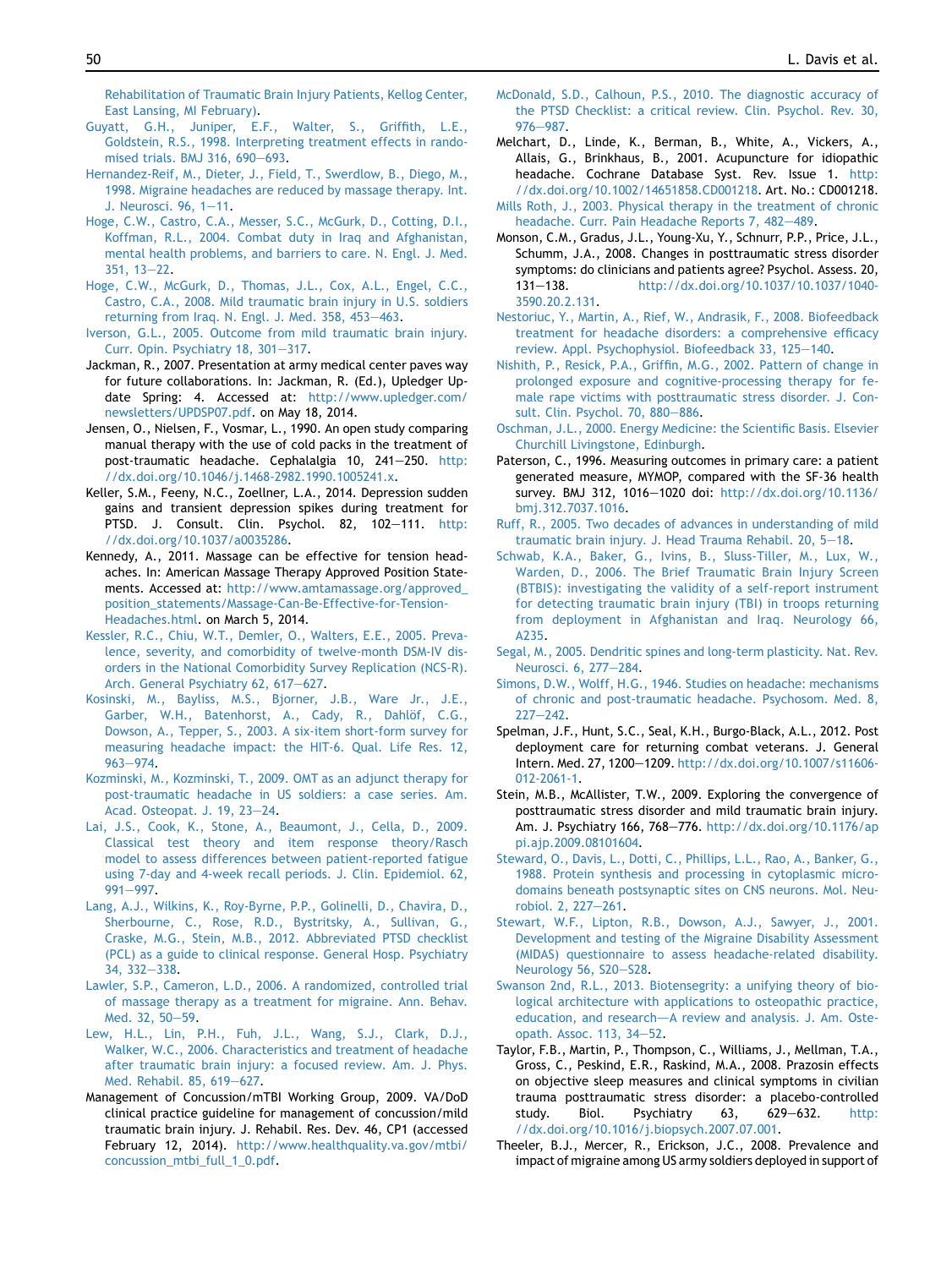<span id="page-8-0"></span>[Rehabilitation of Traumatic Brain Injury Patients, Kellog Center,](http://refhub.elsevier.com/S1360-8592(15)00060-1/sref26) [East Lansing, MI February\).](http://refhub.elsevier.com/S1360-8592(15)00060-1/sref26)

- [Guyatt, G.H., Juniper, E.F., Walter, S., Griffith, L.E.,](http://refhub.elsevier.com/S1360-8592(15)00060-1/sref27) [Goldstein, R.S., 1998. Interpreting treatment effects in rando](http://refhub.elsevier.com/S1360-8592(15)00060-1/sref27)[mised trials. BMJ 316, 690](http://refhub.elsevier.com/S1360-8592(15)00060-1/sref27)-[693.](http://refhub.elsevier.com/S1360-8592(15)00060-1/sref27)
- [Hernandez-Reif, M., Dieter, J., Field, T., Swerdlow, B., Diego, M.,](http://refhub.elsevier.com/S1360-8592(15)00060-1/sref28) [1998. Migraine headaches are reduced by massage therapy. Int.](http://refhub.elsevier.com/S1360-8592(15)00060-1/sref28) [J. Neurosci. 96, 1](http://refhub.elsevier.com/S1360-8592(15)00060-1/sref28)-[11](http://refhub.elsevier.com/S1360-8592(15)00060-1/sref28).
- [Hoge, C.W., Castro, C.A., Messer, S.C., McGurk, D., Cotting, D.I.,](http://refhub.elsevier.com/S1360-8592(15)00060-1/sref29) [Koffman, R.L., 2004. Combat duty in Iraq and Afghanistan,](http://refhub.elsevier.com/S1360-8592(15)00060-1/sref29) [mental health problems, and barriers to care. N. Engl. J. Med.](http://refhub.elsevier.com/S1360-8592(15)00060-1/sref29)  $351.13 - 22.$  $351.13 - 22.$  $351.13 - 22.$
- [Hoge, C.W., McGurk, D., Thomas, J.L., Cox, A.L., Engel, C.C.,](http://refhub.elsevier.com/S1360-8592(15)00060-1/sref30) [Castro, C.A., 2008. Mild traumatic brain injury in U.S. soldiers](http://refhub.elsevier.com/S1360-8592(15)00060-1/sref30) [returning from Iraq. N. Engl. J. Med. 358, 453](http://refhub.elsevier.com/S1360-8592(15)00060-1/sref30)-[463.](http://refhub.elsevier.com/S1360-8592(15)00060-1/sref30)
- [Iverson, G.L., 2005. Outcome from mild traumatic brain injury.](http://refhub.elsevier.com/S1360-8592(15)00060-1/sref31) [Curr. Opin. Psychiatry 18, 301](http://refhub.elsevier.com/S1360-8592(15)00060-1/sref31)-[317](http://refhub.elsevier.com/S1360-8592(15)00060-1/sref31).
- Jackman, R., 2007. Presentation at army medical center paves way for future collaborations. In: Jackman, R. (Ed.), Upledger Update Spring: 4. Accessed at: [http://www.upledger.com/](http://www.upledger.com/newsletters/UPDSP07.pdf) [newsletters/UPDSP07.pdf](http://www.upledger.com/newsletters/UPDSP07.pdf). on May 18, 2014.
- Jensen, O., Nielsen, F., Vosmar, L., 1990. An open study comparing manual therapy with the use of cold packs in the treatment of post-traumatic headache. Cephalalgia 10, 241-250. [http:](http://dx.doi.org/10.1046/j.1468-2982.1990.1005241.x) [//dx.doi.org/10.1046/j.1468-2982.1990.1005241.x.](http://dx.doi.org/10.1046/j.1468-2982.1990.1005241.x)
- Keller, S.M., Feeny, N.C., Zoellner, L.A., 2014. Depression sudden gains and transient depression spikes during treatment for PTSD. J. Consult. Clin. Psychol. 82, 102-111. [http:](http://dx.doi.org/10.1037/a0035286) [//dx.doi.org/10.1037/a0035286.](http://dx.doi.org/10.1037/a0035286)
- Kennedy, A., 2011. Massage can be effective for tension headaches. In: American Massage Therapy Approved Position Statements. Accessed at: [http://www.amtamassage.org/approved\\_](http://www.amtamassage.org/approved_position_statements/Massage-Can-Be-Effective-for-Tension-Headaches.html) [position\\_statements/Massage-Can-Be-Effective-for-Tension-](http://www.amtamassage.org/approved_position_statements/Massage-Can-Be-Effective-for-Tension-Headaches.html)[Headaches.html.](http://www.amtamassage.org/approved_position_statements/Massage-Can-Be-Effective-for-Tension-Headaches.html) on March 5, 2014.
- [Kessler, R.C., Chiu, W.T., Demler, O., Walters, E.E., 2005. Preva](http://refhub.elsevier.com/S1360-8592(15)00060-1/sref36)[lence, severity, and comorbidity of twelve-month DSM-IV dis](http://refhub.elsevier.com/S1360-8592(15)00060-1/sref36)[orders in the National Comorbidity Survey Replication \(NCS-R\).](http://refhub.elsevier.com/S1360-8592(15)00060-1/sref36) [Arch. General Psychiatry 62, 617](http://refhub.elsevier.com/S1360-8592(15)00060-1/sref36)-[627](http://refhub.elsevier.com/S1360-8592(15)00060-1/sref36).
- [Kosinski, M., Bayliss, M.S., Bjorner, J.B., Ware Jr., J.E.,](http://refhub.elsevier.com/S1360-8592(15)00060-1/sref37) Garber, W.H., Batenhorst, A., Cady, R., Dahlöf, C.G., [Dowson, A., Tepper, S., 2003. A six-item short-form survey for](http://refhub.elsevier.com/S1360-8592(15)00060-1/sref37) [measuring headache impact: the HIT-6. Qual. Life Res. 12,](http://refhub.elsevier.com/S1360-8592(15)00060-1/sref37)  $963 - 974.$  $963 - 974.$  $963 - 974.$
- [Kozminski, M., Kozminski, T., 2009. OMT as an adjunct therapy for](http://refhub.elsevier.com/S1360-8592(15)00060-1/sref38) [post-traumatic headache in US soldiers: a case series. Am.](http://refhub.elsevier.com/S1360-8592(15)00060-1/sref38) [Acad. Osteopat. J. 19, 23](http://refhub.elsevier.com/S1360-8592(15)00060-1/sref38)-[24](http://refhub.elsevier.com/S1360-8592(15)00060-1/sref38).
- [Lai, J.S., Cook, K., Stone, A., Beaumont, J., Cella, D., 2009.](http://refhub.elsevier.com/S1360-8592(15)00060-1/sref39) [Classical test theory and item response theory/Rasch](http://refhub.elsevier.com/S1360-8592(15)00060-1/sref39) [model to assess differences between patient-reported fatigue](http://refhub.elsevier.com/S1360-8592(15)00060-1/sref39) [using 7-day and 4-week recall periods. J. Clin. Epidemiol. 62,](http://refhub.elsevier.com/S1360-8592(15)00060-1/sref39) [991](http://refhub.elsevier.com/S1360-8592(15)00060-1/sref39)-[997.](http://refhub.elsevier.com/S1360-8592(15)00060-1/sref39)
- [Lang, A.J., Wilkins, K., Roy-Byrne, P.P., Golinelli, D., Chavira, D.,](http://refhub.elsevier.com/S1360-8592(15)00060-1/sref40) [Sherbourne, C., Rose, R.D., Bystritsky, A., Sullivan, G.,](http://refhub.elsevier.com/S1360-8592(15)00060-1/sref40) [Craske, M.G., Stein, M.B., 2012. Abbreviated PTSD checklist](http://refhub.elsevier.com/S1360-8592(15)00060-1/sref40) [\(PCL\) as a guide to clinical response. General Hosp. Psychiatry](http://refhub.elsevier.com/S1360-8592(15)00060-1/sref40)  $34.332 - 338.$  $34.332 - 338.$  $34.332 - 338.$
- [Lawler, S.P., Cameron, L.D., 2006. A randomized, controlled trial](http://refhub.elsevier.com/S1360-8592(15)00060-1/sref41) [of massage therapy as a treatment for migraine. Ann. Behav.](http://refhub.elsevier.com/S1360-8592(15)00060-1/sref41) [Med. 32, 50](http://refhub.elsevier.com/S1360-8592(15)00060-1/sref41)-[59](http://refhub.elsevier.com/S1360-8592(15)00060-1/sref41).
- [Lew, H.L., Lin, P.H., Fuh, J.L., Wang, S.J., Clark, D.J.,](http://refhub.elsevier.com/S1360-8592(15)00060-1/sref42) [Walker, W.C., 2006. Characteristics and treatment of headache](http://refhub.elsevier.com/S1360-8592(15)00060-1/sref42) [after traumatic brain injury: a focused review. Am. J. Phys.](http://refhub.elsevier.com/S1360-8592(15)00060-1/sref42) [Med. Rehabil. 85, 619](http://refhub.elsevier.com/S1360-8592(15)00060-1/sref42)-[627.](http://refhub.elsevier.com/S1360-8592(15)00060-1/sref42)
- Management of Concussion/mTBI Working Group, 2009. VA/DoD clinical practice guideline for management of concussion/mild traumatic brain injury. J. Rehabil. Res. Dev. 46, CP1 (accessed February 12, 2014). [http://www.healthquality.va.gov/mtbi/](http://www.healthquality.va.gov/mtbi/concussion_mtbi_full_1_0.pdf) [concussion\\_mtbi\\_full\\_1\\_0.pdf](http://www.healthquality.va.gov/mtbi/concussion_mtbi_full_1_0.pdf).
- [McDonald, S.D., Calhoun, P.S., 2010. The diagnostic accuracy of](http://refhub.elsevier.com/S1360-8592(15)00060-1/sref44) [the PTSD Checklist: a critical review. Clin. Psychol. Rev. 30,](http://refhub.elsevier.com/S1360-8592(15)00060-1/sref44) [976](http://refhub.elsevier.com/S1360-8592(15)00060-1/sref44)-[987.](http://refhub.elsevier.com/S1360-8592(15)00060-1/sref44)
- Melchart, D., Linde, K., Berman, B., White, A., Vickers, A., Allais, G., Brinkhaus, B., 2001. Acupuncture for idiopathic headache. Cochrane Database Syst. Rev. Issue 1. [http:](http://dx.doi.org/10.1002/14651858.CD001218) [//dx.doi.org/10.1002/14651858.CD001218](http://dx.doi.org/10.1002/14651858.CD001218). Art. No.: CD001218.
- [Mills Roth, J., 2003. Physical therapy in the treatment of chronic](http://refhub.elsevier.com/S1360-8592(15)00060-1/sref46) [headache. Curr. Pain Headache Reports 7, 482](http://refhub.elsevier.com/S1360-8592(15)00060-1/sref46)-[489](http://refhub.elsevier.com/S1360-8592(15)00060-1/sref46).
- Monson, C.M., Gradus, J.L., Young-Xu, Y., Schnurr, P.P., Price, J.L., Schumm, J.A., 2008. Changes in posttraumatic stress disorder symptoms: do clinicians and patients agree? Psychol. Assess. 20, 131e138. [http://dx.doi.org/10.1037/10.1037/1040-](http://dx.doi.org/10.1037/10.1037/1040-3590.20.2.131) [3590.20.2.131.](http://dx.doi.org/10.1037/10.1037/1040-3590.20.2.131)
- [Nestoriuc, Y., Martin, A., Rief, W., Andrasik, F., 2008. Biofeedback](http://refhub.elsevier.com/S1360-8592(15)00060-1/sref48) [treatment for headache disorders: a comprehensive efficacy](http://refhub.elsevier.com/S1360-8592(15)00060-1/sref48) [review. Appl. Psychophysiol. Biofeedback 33, 125](http://refhub.elsevier.com/S1360-8592(15)00060-1/sref48)-[140.](http://refhub.elsevier.com/S1360-8592(15)00060-1/sref48)
- [Nishith, P., Resick, P.A., Griffin, M.G., 2002. Pattern of change in](http://refhub.elsevier.com/S1360-8592(15)00060-1/sref49) [prolonged exposure and cognitive-processing therapy for fe](http://refhub.elsevier.com/S1360-8592(15)00060-1/sref49)[male rape victims with posttraumatic stress disorder. J. Con](http://refhub.elsevier.com/S1360-8592(15)00060-1/sref49)[sult. Clin. Psychol. 70, 880](http://refhub.elsevier.com/S1360-8592(15)00060-1/sref49)-[886.](http://refhub.elsevier.com/S1360-8592(15)00060-1/sref49)
- [Oschman, J.L., 2000. Energy Medicine: the Scientific Basis. Elsevier](http://refhub.elsevier.com/S1360-8592(15)00060-1/sref50) [Churchill Livingstone, Edinburgh.](http://refhub.elsevier.com/S1360-8592(15)00060-1/sref50)
- Paterson, C., 1996. Measuring outcomes in primary care: a patient generated measure, MYMOP, compared with the SF-36 health survey. BMJ 312, 1016-1020 doi: [http://dx.doi.org/10.1136/](http://dx.doi.org/10.1136/bmj.312.7037.1016) [bmj.312.7037.1016.](http://dx.doi.org/10.1136/bmj.312.7037.1016)
- [Ruff, R., 2005. Two decades of advances in understanding of mild](http://refhub.elsevier.com/S1360-8592(15)00060-1/sref52) [traumatic brain injury. J. Head Trauma Rehabil. 20, 5](http://refhub.elsevier.com/S1360-8592(15)00060-1/sref52)-[18.](http://refhub.elsevier.com/S1360-8592(15)00060-1/sref52)
- [Schwab, K.A., Baker, G., Ivins, B., Sluss-Tiller, M., Lux, W.,](http://refhub.elsevier.com/S1360-8592(15)00060-1/sref53) [Warden, D., 2006. The Brief Traumatic Brain Injury Screen](http://refhub.elsevier.com/S1360-8592(15)00060-1/sref53) [\(BTBIS\): investigating the validity of a self-report instrument](http://refhub.elsevier.com/S1360-8592(15)00060-1/sref53) [for detecting traumatic brain injury \(TBI\) in troops returning](http://refhub.elsevier.com/S1360-8592(15)00060-1/sref53) [from deployment in Afghanistan and Iraq. Neurology 66,](http://refhub.elsevier.com/S1360-8592(15)00060-1/sref53) [A235](http://refhub.elsevier.com/S1360-8592(15)00060-1/sref53).
- [Segal, M., 2005. Dendritic spines and long-term plasticity. Nat. Rev.](http://refhub.elsevier.com/S1360-8592(15)00060-1/sref54) [Neurosci. 6, 277](http://refhub.elsevier.com/S1360-8592(15)00060-1/sref54)-[284](http://refhub.elsevier.com/S1360-8592(15)00060-1/sref54).
- [Simons, D.W., Wolff, H.G., 1946. Studies on headache: mechanisms](http://refhub.elsevier.com/S1360-8592(15)00060-1/sref55) [of chronic and post-traumatic headache. Psychosom. Med. 8,](http://refhub.elsevier.com/S1360-8592(15)00060-1/sref55)  $227 - 242$  $227 - 242$
- Spelman, J.F., Hunt, S.C., Seal, K.H., Burgo-Black, A.L., 2012. Post deployment care for returning combat veterans. J. General Intern. Med. 27, 1200-1209. [http://dx.doi.org/10.1007/s11606-](http://dx.doi.org/10.1007/s11606-012-2061-1) [012-2061-1.](http://dx.doi.org/10.1007/s11606-012-2061-1)
- Stein, M.B., McAllister, T.W., 2009. Exploring the convergence of posttraumatic stress disorder and mild traumatic brain injury. Am. J. Psychiatry 166, 768-776. [http://dx.doi.org/10.1176/ap](http://dx.doi.org/10.1176/appi.ajp.2009.08101604) [pi.ajp.2009.08101604](http://dx.doi.org/10.1176/appi.ajp.2009.08101604).
- [Steward, O., Davis, L., Dotti, C., Phillips, L.L., Rao, A., Banker, G.,](http://refhub.elsevier.com/S1360-8592(15)00060-1/sref58) [1988. Protein synthesis and processing in cytoplasmic micro](http://refhub.elsevier.com/S1360-8592(15)00060-1/sref58)[domains beneath postsynaptic sites on CNS neurons. Mol. Neu](http://refhub.elsevier.com/S1360-8592(15)00060-1/sref58)[robiol. 2, 227](http://refhub.elsevier.com/S1360-8592(15)00060-1/sref58)-[261](http://refhub.elsevier.com/S1360-8592(15)00060-1/sref58).
- [Stewart, W.F., Lipton, R.B., Dowson, A.J., Sawyer, J., 2001.](http://refhub.elsevier.com/S1360-8592(15)00060-1/sref59) [Development and testing of the Migraine Disability Assessment](http://refhub.elsevier.com/S1360-8592(15)00060-1/sref59) [\(MIDAS\) questionnaire to assess headache-related disability.](http://refhub.elsevier.com/S1360-8592(15)00060-1/sref59) [Neurology 56, S20](http://refhub.elsevier.com/S1360-8592(15)00060-1/sref59)-[S28](http://refhub.elsevier.com/S1360-8592(15)00060-1/sref59).
- [Swanson 2nd, R.L., 2013. Biotensegrity: a unifying theory of bio](http://refhub.elsevier.com/S1360-8592(15)00060-1/sref60)[logical architecture with applications to osteopathic practice,](http://refhub.elsevier.com/S1360-8592(15)00060-1/sref60) [education, and research](http://refhub.elsevier.com/S1360-8592(15)00060-1/sref60)-[A review and analysis. J. Am. Oste](http://refhub.elsevier.com/S1360-8592(15)00060-1/sref60)[opath. Assoc. 113, 34](http://refhub.elsevier.com/S1360-8592(15)00060-1/sref60)-[52](http://refhub.elsevier.com/S1360-8592(15)00060-1/sref60).
- Taylor, F.B., Martin, P., Thompson, C., Williams, J., Mellman, T.A., Gross, C., Peskind, E.R., Raskind, M.A., 2008. Prazosin effects on objective sleep measures and clinical symptoms in civilian trauma posttraumatic stress disorder: a placebo-controlled study. Biol. Psychiatry 63, 629–632. [http:](http://dx.doi.org/10.1016/j.biopsych.2007.07.001) [//dx.doi.org/10.1016/j.biopsych.2007.07.001](http://dx.doi.org/10.1016/j.biopsych.2007.07.001).
- Theeler, B.J., Mercer, R., Erickson, J.C., 2008. Prevalence and impact of migraine among US army soldiers deployed in support of